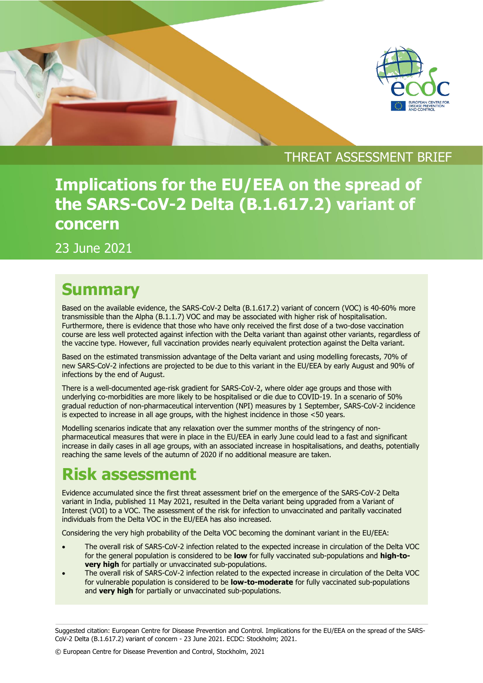

### THREAT ASSESSMENT BRIEF

# **Implications for the EU/EEA on the spread of the SARS-CoV-2 Delta (B.1.617.2) variant of concern**

23 June 2021

## **Summary**

Based on the available evidence, the SARS-CoV-2 Delta (B.1.617.2) variant of concern (VOC) is 40-60% more transmissible than the Alpha (Β.1.1.7) VOC and may be associated with higher risk of hospitalisation. Furthermore, there is evidence that those who have only received the first dose of a two-dose vaccination course are less well protected against infection with the Delta variant than against other variants, regardless of the vaccine type. However, full vaccination provides nearly equivalent protection against the Delta variant.

Based on the estimated transmission advantage of the Delta variant and using modelling forecasts, 70% of new SARS-CoV-2 infections are projected to be due to this variant in the EU/EEA by early August and 90% of infections by the end of August.

There is a well-documented age-risk gradient for SARS-CoV-2, where older age groups and those with underlying co-morbidities are more likely to be hospitalised or die due to COVID-19. In a scenario of 50% gradual reduction of non-pharmaceutical intervention (NPI) measures by 1 September, SARS-CoV-2 incidence is expected to increase in all age groups, with the highest incidence in those <50 years.

Modelling scenarios indicate that any relaxation over the summer months of the stringency of nonpharmaceutical measures that were in place in the EU/EEA in early June could lead to a fast and significant increase in daily cases in all age groups, with an associated increase in hospitalisations, and deaths, potentially reaching the same levels of the autumn of 2020 if no additional measure are taken.

# **Risk assessment**

Evidence accumulated since the first threat assessment brief on the emergence of the SARS-CoV-2 Delta variant in India, published 11 May 2021, resulted in the Delta variant being upgraded from a Variant of Interest (VOI) to a VOC. The assessment of the risk for infection to unvaccinated and paritally vaccinated individuals from the Delta VOC in the EU/EEA has also increased.

Considering the very high probability of the Delta VOC becoming the dominant variant in the EU/EEA:

- The overall risk of SARS-CoV-2 infection related to the expected increase in circulation of the Delta VOC for the general population is considered to be **low** for fully vaccinated sub-populations and **high-tovery high** for partially or unvaccinated sub-populations.
- The overall risk of SARS-CoV-2 infection related to the expected increase in circulation of the Delta VOC for vulnerable population is considered to be **low-to-moderate** for fully vaccinated sub-populations and **very high** for partially or unvaccinated sub-populations.

Suggested citation: European Centre for Disease Prevention and Control. Implications for the EU/EEA on the spread of the SARS-CoV-2 Delta (B.1.617.2) variant of concern - 23 June 2021. ECDC: Stockholm; 2021.

© European Centre for Disease Prevention and Control, Stockholm, 2021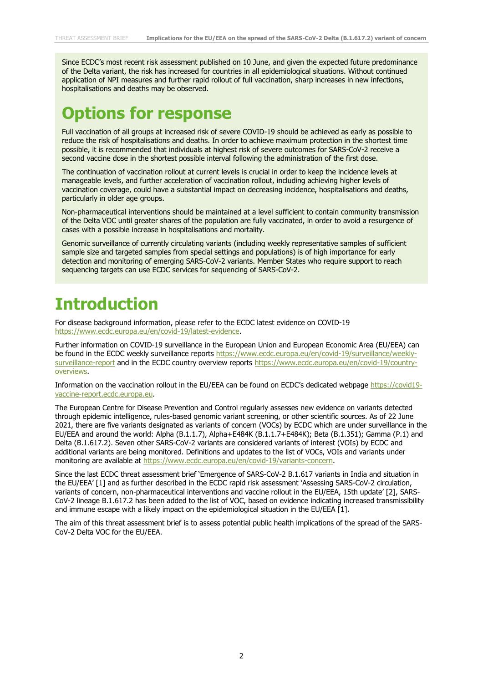Since ECDC's most recent risk assessment published on 10 June, and given the expected future predominance of the Delta variant, the risk has increased for countries in all epidemiological situations. Without continued application of NPI measures and further rapid rollout of full vaccination, sharp increases in new infections, hospitalisations and deaths may be observed.

## **Options for response**

Full vaccination of all groups at increased risk of severe COVID-19 should be achieved as early as possible to reduce the risk of hospitalisations and deaths. In order to achieve maximum protection in the shortest time possible, it is recommended that individuals at highest risk of severe outcomes for SARS-CoV-2 receive a second vaccine dose in the shortest possible interval following the administration of the first dose.

The continuation of vaccination rollout at current levels is crucial in order to keep the incidence levels at manageable levels, and further acceleration of vaccination rollout, including achieving higher levels of vaccination coverage, could have a substantial impact on decreasing incidence, hospitalisations and deaths, particularly in older age groups.

Non-pharmaceutical interventions should be maintained at a level sufficient to contain community transmission of the Delta VOC until greater shares of the population are fully vaccinated, in order to avoid a resurgence of cases with a possible increase in hospitalisations and mortality.

Genomic surveillance of currently circulating variants (including weekly representative samples of sufficient sample size and targeted samples from special settings and populations) is of high importance for early detection and monitoring of emerging SARS-CoV-2 variants. Member States who require support to reach sequencing targets can use ECDC services for sequencing of SARS-CoV-2.

## **Introduction**

For disease background information, please refer to the ECDC latest evidence on COVID-19 [https://www.ecdc.europa.eu/en/covid-19/latest-evidence.](https://www.ecdc.europa.eu/en/covid-19/latest-evidence)

Further information on COVID-19 surveillance in the European Union and European Economic Area (EU/EEA) can be found in the ECDC weekly surveillance reports [https://www.ecdc.europa.eu/en/covid-19/surveillance/weekly](https://www.ecdc.europa.eu/en/covid-19/surveillance/weekly-surveillance-report)[surveillance-report](https://www.ecdc.europa.eu/en/covid-19/surveillance/weekly-surveillance-report) and in the ECDC country overview reports [https://www.ecdc.europa.eu/en/covid-19/country](https://www.ecdc.europa.eu/en/covid-19/country-overviews)[overviews.](https://www.ecdc.europa.eu/en/covid-19/country-overviews)

Information on the vaccination rollout in the EU/EEA can be found on ECDC's dedicated webpage [https://covid19](https://covid19-vaccine-report.ecdc.europa.eu/) [vaccine-report.ecdc.europa.eu.](https://covid19-vaccine-report.ecdc.europa.eu/)

The European Centre for Disease Prevention and Control regularly assesses new evidence on variants detected through epidemic intelligence, rules-based genomic variant screening, or other scientific sources. As of 22 June 2021, there are five variants designated as variants of concern (VOCs) by ECDC which are under surveillance in the EU/EEA and around the world: Alpha (Β.1.1.7), Alpha+E484K (Β.1.1.7+E484K); Beta (B.1.351); Gamma (P.1) and Delta (B.1.617.2). Seven other SARS-CoV-2 variants are considered variants of interest (VOIs) by ECDC and additional variants are being monitored. Definitions and updates to the list of VOCs, VOIs and variants under monitoring are available at [https://www.ecdc.europa.eu/en/covid-19/variants-concern.](https://www.ecdc.europa.eu/en/covid-19/variants-concern)

Since the last ECDC threat assessment brief 'Emergence of SARS-CoV-2 B.1.617 variants in India and situation in the EU/EEA' [1] and as further described in the ECDC rapid risk assessment 'Assessing SARS-CoV-2 circulation, variants of concern, non-pharmaceutical interventions and vaccine rollout in the EU/EEA, 15th update' [2], SARS-CoV-2 lineage B.1.617.2 has been added to the list of VOC, based on evidence indicating increased transmissibility and immune escape with a likely impact on the epidemiological situation in the EU/EEA [1].

The aim of this threat assessment brief is to assess potential public health implications of the spread of the SARS-CoV-2 Delta VOC for the EU/EEA.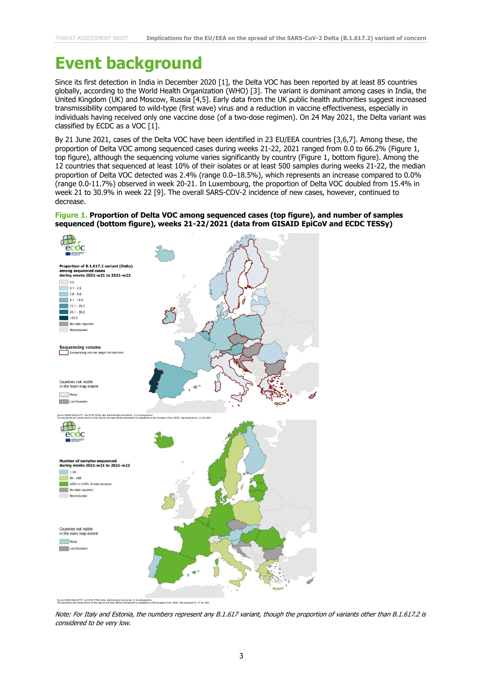## **Event background**

Since its first detection in India in December 2020 [1], the Delta VOC has been reported by at least 85 countries globally, according to the World Health Organization (WHO) [3]. The variant is dominant among cases in India, the United Kingdom (UK) and Moscow, Russia [4,5]. Early data from the UK public health authorities suggest increased transmissibility compared to wild-type (first wave) virus and a reduction in vaccine effectiveness, especially in individuals having received only one vaccine dose (of a two-dose regimen). On 24 May 2021, the Delta variant was classified by ECDC as a VOC [1].

By 21 June 2021, cases of the Delta VOC have been identified in 23 EU/EEA countries [3,6,7]. Among these, the proportion of Delta VOC among sequenced cases during weeks 21-22, 2021 ranged from 0.0 to 66.2% (Figure 1, top figure), although the sequencing volume varies significantly by country (Figure 1, bottom figure). Among the 12 countries that sequenced at least 10% of their isolates or at least 500 samples during weeks 21-22, the median proportion of Delta VOC detected was 2.4% (range 0.0–18.5%), which represents an increase compared to 0.0% (range 0.0-11.7%) observed in week 20-21. In Luxembourg, the proportion of Delta VOC doubled from 15.4% in week 21 to 30.9% in week 22 [9]. The overall SARS-COV-2 incidence of new cases, however, continued to decrease.

#### **Figure 1. Proportion of Delta VOC among sequenced cases (top figure), and number of samples sequenced (bottom figure), weeks 21-22/2021 (data from GISAID EpiCoV and ECDC TESSy)**



Note: For Italy and Estonia, the numbers represent any B.1.617 variant, though the proportion of variants other than B.1.617.2 is considered to be very low.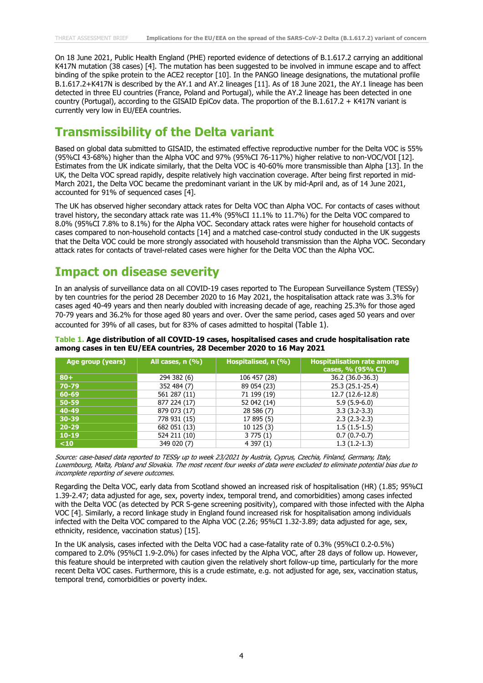On 18 June 2021, Public Health England (PHE) reported evidence of detections of B.1.617.2 carrying an additional K417N mutation (38 cases) [4]. The mutation has been suggested to be involved in immune escape and to affect binding of the spike protein to the ACE2 receptor [10]. In the PANGO lineage designations, the mutational profile B.1.617.2+K417N is described by the AY.1 and AY.2 lineages [11]. As of 18 June 2021, the AY.1 lineage has been detected in three EU countries (France, Poland and Portugal), while the AY.2 lineage has been detected in one country (Portugal), according to the GISAID EpiCov data. The proportion of the B.1.617.2 + K417N variant is currently very low in EU/EEA countries.

### **Transmissibility of the Delta variant**

Based on global data submitted to GISAID, the estimated effective reproductive number for the Delta VOC is 55% (95%CI 43-68%) higher than the Alpha VOC and 97% (95%CI 76-117%) higher relative to non-VOC/VOI [12]. Estimates from the UK indicate similarly, that the Delta VOC is 40-60% more transmissible than Alpha [13]. In the UK, the Delta VOC spread rapidly, despite relatively high vaccination coverage. After being first reported in mid-March 2021, the Delta VOC became the predominant variant in the UK by mid-April and, as of 14 June 2021, accounted for 91% of sequenced cases [4].

The UK has observed higher secondary attack rates for Delta VOC than Alpha VOC. For contacts of cases without travel history, the secondary attack rate was 11.4% (95%CI 11.1% to 11.7%) for the Delta VOC compared to 8.0% (95%CI 7.8% to 8.1%) for the Alpha VOC. Secondary attack rates were higher for household contacts of cases compared to non-household contacts [14] and a matched case-control study conducted in the UK suggests that the Delta VOC could be more strongly associated with household transmission than the Alpha VOC. Secondary attack rates for contacts of travel-related cases were higher for the Delta VOC than the Alpha VOC.

#### **Impact on disease severity**

In an analysis of surveillance data on all COVID-19 cases reported to The European Surveillance System (TESSy) by ten countries for the period 28 December 2020 to 16 May 2021, the hospitalisation attack rate was 3.3% for cases aged 40-49 years and then nearly doubled with increasing decade of age, reaching 25.3% for those aged 70-79 years and 36.2% for those aged 80 years and over. Over the same period, cases aged 50 years and over accounted for 39% of all cases, but for 83% of cases admitted to hospital (Table 1).

**Table 1. Age distribution of all COVID-19 cases, hospitalised cases and crude hospitalisation rate among cases in ten EU/EEA countries, 28 December 2020 to 16 May 2021**

| Age group (years) | All cases, n (%) | Hospitalised, n (%) | <b>Hospitalisation rate among</b><br>cases, $\%$ (95% CI) |
|-------------------|------------------|---------------------|-----------------------------------------------------------|
| $80+$             | 294 382 (6)      | 106 457 (28)        | 36.2 (36.0-36.3)                                          |
| 70-79             | 352 484 (7)      | 89 054 (23)         | 25.3 (25.1-25.4)                                          |
| 60-69             | 561 287 (11)     | 71 199 (19)         | 12.7 (12.6-12.8)                                          |
| $50 - 59$         | 877 224 (17)     | 52 042 (14)         | $5.9(5.9-6.0)$                                            |
| 40-49             | 879 073 (17)     | 28 586 (7)          | $3.3(3.2-3.3)$                                            |
| $30 - 39$         | 778 931 (15)     | 17 895 (5)          | $2.3(2.3-2.3)$                                            |
| $20 - 29$         | 682 051 (13)     | 10125(3)            | $1.5(1.5-1.5)$                                            |
| $10 - 19$         | 524 211 (10)     | 3775(1)             | $0.7(0.7-0.7)$                                            |
| $10$              | 349 020 (7)      | 4397(1)             | $1.3(1.2-1.3)$                                            |

Source: case-based data reported to TESSy up to week 23/2021 by Austria, Cyprus, Czechia, Finland, Germany, Italy, Luxembourg, Malta, Poland and Slovakia. The most recent four weeks of data were excluded to eliminate potential bias due to incomplete reporting of severe outcomes.

Regarding the Delta VOC, early data from Scotland showed an increased risk of hospitalisation (HR) (1.85; 95%CI 1.39-2.47; data adjusted for age, sex, poverty index, temporal trend, and comorbidities) among cases infected with the Delta VOC (as detected by PCR S-gene screening positivity), compared with those infected with the Alpha VOC [4]. Similarly, a record linkage study in England found increased risk for hospitalisation among individuals infected with the Delta VOC compared to the Alpha VOC (2.26; 95%CI 1.32-3.89; data adjusted for age, sex, ethnicity, residence, vaccination status) [15].

In the UK analysis, cases infected with the Delta VOC had a case-fatality rate of 0.3% (95%CI 0.2-0.5%) compared to 2.0% (95%CI 1.9-2.0%) for cases infected by the Alpha VOC, after 28 days of follow up. However, this feature should be interpreted with caution given the relatively short follow-up time, particularly for the more recent Delta VOC cases. Furthermore, this is a crude estimate, e.g. not adjusted for age, sex, vaccination status, temporal trend, comorbidities or poverty index.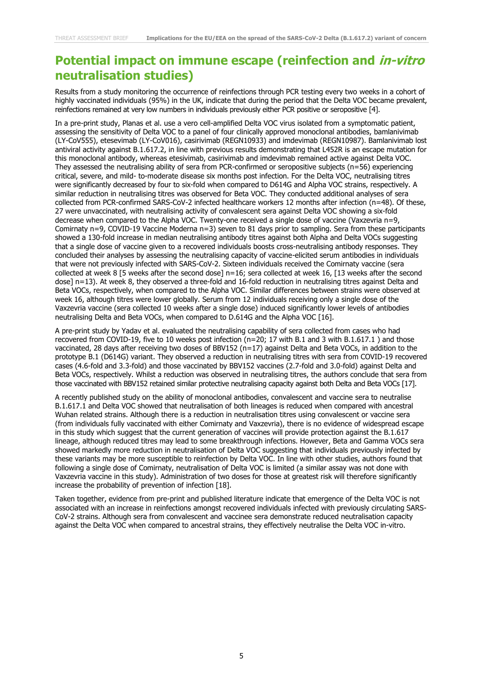#### **Potential impact on immune escape (reinfection and in-vitro neutralisation studies)**

Results from a study monitoring the occurrence of reinfections through PCR testing every two weeks in a cohort of highly vaccinated individuals (95%) in the UK, indicate that during the period that the Delta VOC became prevalent, reinfections remained at very low numbers in individuals previously either PCR positive or seropositive [4].

In a pre-print study, Planas et al. use a vero cell-amplified Delta VOC virus isolated from a symptomatic patient, assessing the sensitivity of Delta VOC to a panel of four clinically approved monoclonal antibodies, bamlanivimab (LY-CoV555), etesevimab (LY-CoV016), casirivimab (REGN10933) and imdevimab (REGN10987). Bamlanivimab lost antiviral activity against B.1.617.2, in line with previous results demonstrating that L452R is an escape mutation for this monoclonal antibody, whereas etesivimab, casirivimab and imdevimab remained active against Delta VOC. They assessed the neutralising ability of sera from PCR-confirmed or seropositive subjects (n=56) experiencing critical, severe, and mild- to-moderate disease six months post infection. For the Delta VOC, neutralising titres were significantly decreased by four to six-fold when compared to D614G and Alpha VOC strains, respectively. A similar reduction in neutralising titres was observed for Beta VOC. They conducted additional analyses of sera collected from PCR-confirmed SARS-CoV-2 infected healthcare workers 12 months after infection (n=48). Of these, 27 were unvaccinated, with neutralising activity of convalescent sera against Delta VOC showing a six-fold decrease when compared to the Alpha VOC. Twenty-one received a single dose of vaccine (Vaxzevria n=9, Comirnaty n=9, COVID-19 Vaccine Moderna n=3) seven to 81 days prior to sampling. Sera from these participants showed a 130-fold increase in median neutralising antibody titres against both Alpha and Delta VOCs suggesting that a single dose of vaccine given to a recovered individuals boosts cross-neutralising antibody responses. They concluded their analyses by assessing the neutralising capacity of vaccine-elicited serum antibodies in individuals that were not previously infected with SARS-CoV-2. Sixteen individuals received the Comirnaty vaccine (sera collected at week 8 [5 weeks after the second dose]  $n=16$ ; sera collected at week 16, [13 weeks after the second dose] n=13). At week 8, they observed a three-fold and 16-fold reduction in neutralising titres against Delta and Beta VOCs, respectively, when compared to the Alpha VOC. Similar differences between strains were observed at week 16, although titres were lower globally. Serum from 12 individuals receiving only a single dose of the Vaxzevria vaccine (sera collected 10 weeks after a single dose) induced significantly lower levels of antibodies neutralising Delta and Beta VOCs, when compared to D.614G and the Alpha VOC [16].

A pre-print study by Yadav et al. evaluated the neutralising capability of sera collected from cases who had recovered from COVID-19, five to 10 weeks post infection (n=20; 17 with B.1 and 3 with B.1.617.1 ) and those vaccinated, 28 days after receiving two doses of BBV152 (n=17) against Delta and Beta VOCs, in addition to the prototype B.1 (D614G) variant. They observed a reduction in neutralising titres with sera from COVID-19 recovered cases (4.6-fold and 3.3-fold) and those vaccinated by BBV152 vaccines (2.7-fold and 3.0-fold) against Delta and Beta VOCs, respectively. Whilst a reduction was observed in neutralising titres, the authors conclude that sera from those vaccinated with BBV152 retained similar protective neutralising capacity against both Delta and Beta VOCs [17].

A recently published study on the ability of monoclonal antibodies, convalescent and vaccine sera to neutralise B.1.617.1 and Delta VOC showed that neutralisation of both lineages is reduced when compared with ancestral Wuhan related strains. Although there is a reduction in neutralisation titres using convalescent or vaccine sera (from individuals fully vaccinated with either Comirnaty and Vaxzevria), there is no evidence of widespread escape in this study which suggest that the current generation of vaccines will provide protection against the B.1.617 lineage, although reduced titres may lead to some breakthrough infections. However, Beta and Gamma VOCs sera showed markedly more reduction in neutralisation of Delta VOC suggesting that individuals previously infected by these variants may be more susceptible to reinfection by Delta VOC. In line with other studies, authors found that following a single dose of Comirnaty, neutralisation of Delta VOC is limited (a similar assay was not done with Vaxzevria vaccine in this study). Administration of two doses for those at greatest risk will therefore significantly increase the probability of prevention of infection [18].

Taken together, evidence from pre-print and published literature indicate that emergence of the Delta VOC is not associated with an increase in reinfections amongst recovered individuals infected with previously circulating SARS-CoV-2 strains. Although sera from convalescent and vaccinee sera demonstrate reduced neutralisation capacity against the Delta VOC when compared to ancestral strains, they effectively neutralise the Delta VOC in-vitro.

5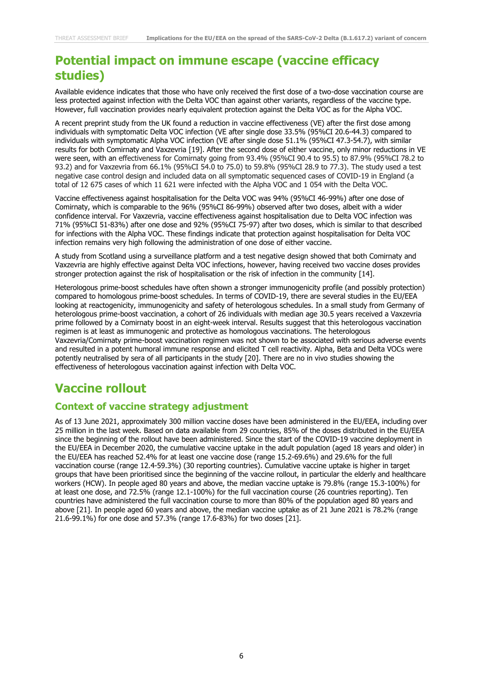### **Potential impact on immune escape (vaccine efficacy studies)**

Available evidence indicates that those who have only received the first dose of a two-dose vaccination course are less protected against infection with the Delta VOC than against other variants, regardless of the vaccine type. However, full vaccination provides nearly equivalent protection against the Delta VOC as for the Alpha VOC.

A recent preprint study from the UK found a reduction in vaccine effectiveness (VE) after the first dose among individuals with symptomatic Delta VOC infection (VE after single dose 33.5% (95%CI 20.6-44.3) compared to individuals with symptomatic Alpha VOC infection (VE after single dose 51.1% (95%CI 47.3-54.7), with similar results for both Comirnaty and Vaxzevria [19]. After the second dose of either vaccine, only minor reductions in VE were seen, with an effectiveness for Comirnaty going from 93.4% (95%CI 90.4 to 95.5) to 87.9% (95%CI 78.2 to 93.2) and for Vaxzevria from 66.1% (95%CI 54.0 to 75.0) to 59.8% (95%CI 28.9 to 77.3). The study used a test negative case control design and included data on all symptomatic sequenced cases of COVID-19 in England (a total of 12 675 cases of which 11 621 were infected with the Alpha VOC and 1 054 with the Delta VOC.

Vaccine effectiveness against hospitalisation for the Delta VOC was 94% (95%CI 46-99%) after one dose of Comirnaty, which is comparable to the 96% (95%CI 86-99%) observed after two doses, albeit with a wider confidence interval. For Vaxzevria, vaccine effectiveness against hospitalisation due to Delta VOC infection was 71% (95%CI 51-83%) after one dose and 92% (95%CI 75-97) after two doses, which is similar to that described for infections with the Alpha VOC. These findings indicate that protection against hospitalisation for Delta VOC infection remains very high following the administration of one dose of either vaccine.

A study from Scotland using a surveillance platform and a test negative design showed that both Comirnaty and Vaxzevria are highly effective against Delta VOC infections, however, having received two vaccine doses provides stronger protection against the risk of hospitalisation or the risk of infection in the community [14].

Heterologous prime-boost schedules have often shown a stronger immunogenicity profile (and possibly protection) compared to homologous prime-boost schedules. In terms of COVID-19, there are several studies in the EU/EEA looking at reactogenicity, immunogenicity and safety of heterologous schedules. In a small study from Germany of heterologous prime-boost vaccination, a cohort of 26 individuals with median age 30.5 years received a Vaxzevria prime followed by a Comirnaty boost in an eight-week interval. Results suggest that this heterologous vaccination regimen is at least as immunogenic and protective as homologous vaccinations. The heterologous Vaxzevria/Comirnaty prime-boost vaccination regimen was not shown to be associated with serious adverse events and resulted in a potent humoral immune response and elicited T cell reactivity. Alpha, Beta and Delta VOCs were potently neutralised by sera of all participants in the study [20]. There are no in vivo studies showing the effectiveness of heterologous vaccination against infection with Delta VOC.

### **Vaccine rollout**

#### **Context of vaccine strategy adjustment**

As of 13 June 2021, approximately 300 million vaccine doses have been administered in the EU/EEA, including over 25 million in the last week. Based on data available from 29 countries, 85% of the doses distributed in the EU/EEA since the beginning of the rollout have been administered. Since the start of the COVID-19 vaccine deployment in the EU/EEA in December 2020, the cumulative vaccine uptake in the adult population (aged 18 years and older) in the EU/EEA has reached 52.4% for at least one vaccine dose (range 15.2-69.6%) and 29.6% for the full vaccination course (range 12.4-59.3%) (30 reporting countries). Cumulative vaccine uptake is higher in target groups that have been prioritised since the beginning of the vaccine rollout, in particular the elderly and healthcare workers (HCW). In people aged 80 years and above, the median vaccine uptake is 79.8% (range 15.3-100%) for at least one dose, and 72.5% (range 12.1-100%) for the full vaccination course (26 countries reporting). Ten countries have administered the full vaccination course to more than 80% of the population aged 80 years and above [21]. In people aged 60 years and above, the median vaccine uptake as of 21 June 2021 is 78.2% (range 21.6-99.1%) for one dose and 57.3% (range 17.6-83%) for two doses [21].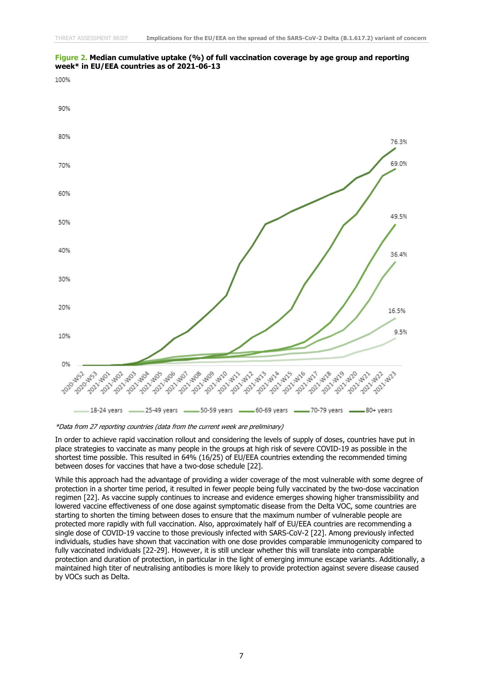

#### **Figure 2. Median cumulative uptake (%) of full vaccination coverage by age group and reporting week\* in EU/EEA countries as of 2021-06-13**

In order to achieve rapid vaccination rollout and considering the levels of supply of doses, countries have put in place strategies to vaccinate as many people in the groups at high risk of severe COVID-19 as possible in the shortest time possible. This resulted in 64% (16/25) of EU/EEA countries extending the recommended timing between doses for vaccines that have a two-dose schedule [22].

While this approach had the advantage of providing a wider coverage of the most vulnerable with some degree of protection in a shorter time period, it resulted in fewer people being fully vaccinated by the two-dose vaccination regimen [22]. As vaccine supply continues to increase and evidence emerges showing higher transmissibility and lowered vaccine effectiveness of one dose against symptomatic disease from the Delta VOC, some countries are starting to shorten the timing between doses to ensure that the maximum number of vulnerable people are protected more rapidly with full vaccination. Also, approximately half of EU/EEA countries are recommending a single dose of COVID-19 vaccine to those previously infected with SARS-CoV-2 [22]. Among previously infected individuals, studies have shown that vaccination with one dose provides comparable immunogenicity compared to fully vaccinated individuals [22-29]. However, it is still unclear whether this will translate into comparable protection and duration of protection, in particular in the light of emerging immune escape variants. Additionally, a maintained high titer of neutralising antibodies is more likely to provide protection against severe disease caused by VOCs such as Delta.

<sup>\*</sup>Data from 27 reporting countries (data from the current week are preliminary)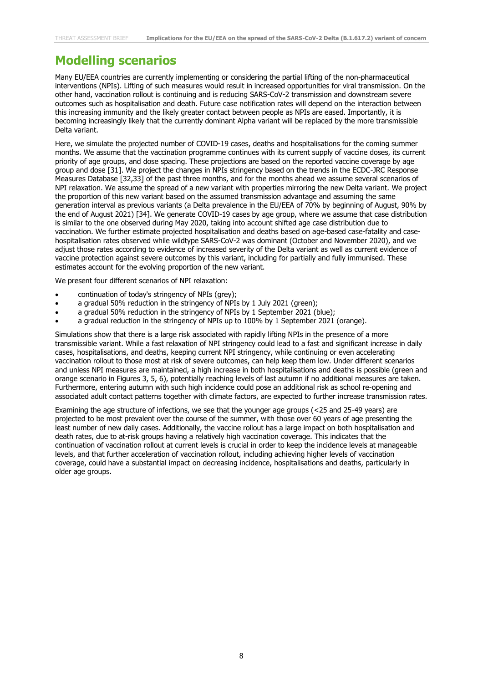### **Modelling scenarios**

Many EU/EEA countries are currently implementing or considering the partial lifting of the non-pharmaceutical interventions (NPIs). Lifting of such measures would result in increased opportunities for viral transmission. On the other hand, vaccination rollout is continuing and is reducing SARS-CoV-2 transmission and downstream severe outcomes such as hospitalisation and death. Future case notification rates will depend on the interaction between this increasing immunity and the likely greater contact between people as NPIs are eased. Importantly, it is becoming increasingly likely that the currently dominant Alpha variant will be replaced by the more transmissible Delta variant.

Here, we simulate the projected number of COVID-19 cases, deaths and hospitalisations for the coming summer months. We assume that the vaccination programme continues with its current supply of vaccine doses, its current priority of age groups, and dose spacing. These projections are based on the reported vaccine coverage by age group and dose [31]. We project the changes in NPIs stringency based on the trends in the ECDC-JRC Response Measures Database [32,33] of the past three months, and for the months ahead we assume several scenarios of NPI relaxation. We assume the spread of a new variant with properties mirroring the new Delta variant. We project the proportion of this new variant based on the assumed transmission advantage and assuming the same generation interval as previous variants (a Delta prevalence in the EU/EEA of 70% by beginning of August, 90% by the end of August 2021) [34]. We generate COVID-19 cases by age group, where we assume that case distribution is similar to the one observed during May 2020, taking into account shifted age case distribution due to vaccination. We further estimate projected hospitalisation and deaths based on age-based case-fatality and casehospitalisation rates observed while wildtype SARS-CoV-2 was dominant (October and November 2020), and we adjust those rates according to evidence of increased severity of the Delta variant as well as current evidence of vaccine protection against severe outcomes by this variant, including for partially and fully immunised. These estimates account for the evolving proportion of the new variant.

We present four different scenarios of NPI relaxation:

- continuation of today's stringency of NPIs (grey);
- a gradual 50% reduction in the stringency of NPIs by 1 July 2021 (green);
- a gradual 50% reduction in the stringency of NPIs by 1 September 2021 (blue);
- a gradual reduction in the stringency of NPIs up to 100% by 1 September 2021 (orange).

Simulations show that there is a large risk associated with rapidly lifting NPIs in the presence of a more transmissible variant. While a fast relaxation of NPI stringency could lead to a fast and significant increase in daily cases, hospitalisations, and deaths, keeping current NPI stringency, while continuing or even accelerating vaccination rollout to those most at risk of severe outcomes, can help keep them low. Under different scenarios and unless NPI measures are maintained, a high increase in both hospitalisations and deaths is possible (green and orange scenario in Figures 3, 5, 6), potentially reaching levels of last autumn if no additional measures are taken. Furthermore, entering autumn with such high incidence could pose an additional risk as school re-opening and associated adult contact patterns together with climate factors, are expected to further increase transmission rates.

Examining the age structure of infections, we see that the younger age groups (<25 and 25-49 years) are projected to be most prevalent over the course of the summer, with those over 60 years of age presenting the least number of new daily cases. Additionally, the vaccine rollout has a large impact on both hospitalisation and death rates, due to at-risk groups having a relatively high vaccination coverage. This indicates that the continuation of vaccination rollout at current levels is crucial in order to keep the incidence levels at manageable levels, and that further acceleration of vaccination rollout, including achieving higher levels of vaccination coverage, could have a substantial impact on decreasing incidence, hospitalisations and deaths, particularly in older age groups.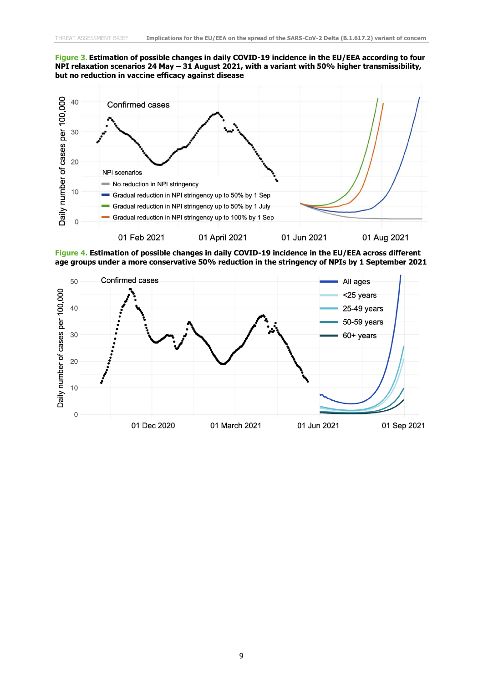#### **Figure 3. Estimation of possible changes in daily COVID-19 incidence in the EU/EEA according to four NPI relaxation scenarios 24 May – 31 August 2021, with a variant with 50% higher transmissibility, but no reduction in vaccine efficacy against disease**



**Figure 4. Estimation of possible changes in daily COVID-19 incidence in the EU/EEA across different age groups under a more conservative 50% reduction in the stringency of NPIs by 1 September 2021**

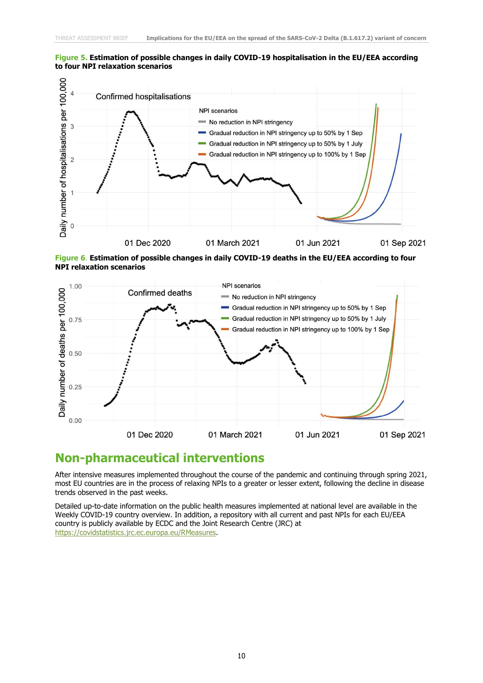#### **Figure 5. Estimation of possible changes in daily COVID-19 hospitalisation in the EU/EEA according to four NPI relaxation scenarios**



**Figure 6**. **Estimation of possible changes in daily COVID-19 deaths in the EU/EEA according to four NPI relaxation scenarios**



#### **Non-pharmaceutical interventions**

After intensive measures implemented throughout the course of the pandemic and continuing through spring 2021, most EU countries are in the process of relaxing NPIs to a greater or lesser extent, following the decline in disease trends observed in the past weeks.

Detailed up-to-date information on the public health measures implemented at national level are available in the Weekly COVID-19 country overview. In addition, a repository with all current and past NPIs for each EU/EEA country is publicly available by ECDC and the Joint Research Centre (JRC) at [https://covidstatistics.jrc.ec.europa.eu/RMeasures.](https://covidstatistics.jrc.ec.europa.eu/RMeasures)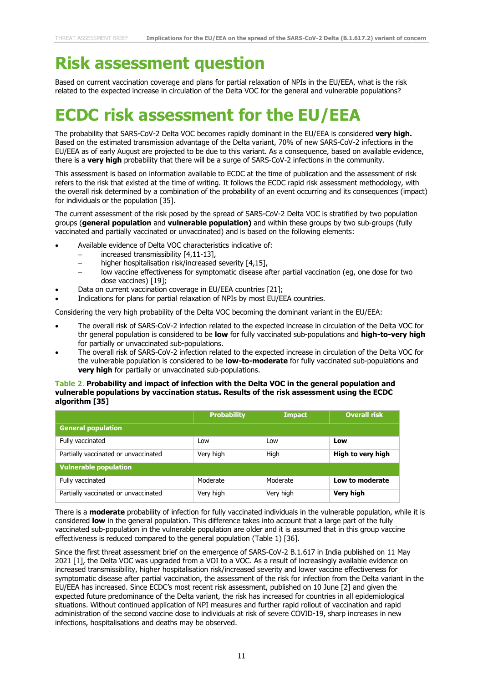# **Risk assessment question**

Based on current vaccination coverage and plans for partial relaxation of NPIs in the EU/EEA, what is the risk related to the expected increase in circulation of the Delta VOC for the general and vulnerable populations?

# **ECDC risk assessment for the EU/EEA**

The probability that SARS-CoV-2 Delta VOC becomes rapidly dominant in the EU/EEA is considered **very high.**  Based on the estimated transmission advantage of the Delta variant, 70% of new SARS-CoV-2 infections in the EU/EEA as of early August are projected to be due to this variant. As a consequence, based on available evidence, there is a **very high** probability that there will be a surge of SARS-CoV-2 infections in the community.

This assessment is based on information available to ECDC at the time of publication and the assessment of risk refers to the risk that existed at the time of writing. It follows the ECDC rapid risk assessment methodology, with the overall risk determined by a combination of the probability of an event occurring and its consequences (impact) for individuals or the population [35].

The current assessment of the risk posed by the spread of SARS-CoV-2 Delta VOC is stratified by two population groups (**general population** and **vulnerable population)** and within these groups by two sub-groups (fully vaccinated and partially vaccinated or unvaccinated) and is based on the following elements:

- Available evidence of Delta VOC characteristics indicative of:
	- − increased transmissibility [4,11-13],
	- higher hospitalisation risk/increased severity [4,15],
	- low vaccine effectiveness for symptomatic disease after partial vaccination (eg, one dose for two dose vaccines) [19];
- Data on current vaccination coverage in EU/EEA countries [21];
- Indications for plans for partial relaxation of NPIs by most EU/EEA countries.

Considering the very high probability of the Delta VOC becoming the dominant variant in the EU/EEA:

- The overall risk of SARS-CoV-2 infection related to the expected increase in circulation of the Delta VOC for thr general population is considered to be **low** for fully vaccinated sub-populations and **high-to-very high** for partially or unvaccinated sub-populations.
- The overall risk of SARS-CoV-2 infection related to the expected increase in circulation of the Delta VOC for the vulnerable population is considered to be **low-to-moderate** for fully vaccinated sub-populations and **very high** for partially or unvaccinated sub-populations.

#### **Table 2**. **Probability and impact of infection with the Delta VOC in the general population and vulnerable populations by vaccination status. Results of the risk assessment using the ECDC algorithm [35]**

|                                      | <b>Probability</b> | <b>Impact</b> | <b>Overall risk</b> |  |  |  |
|--------------------------------------|--------------------|---------------|---------------------|--|--|--|
| <b>General population</b>            |                    |               |                     |  |  |  |
| Fully vaccinated                     | Low                | Low           | Low                 |  |  |  |
| Partially vaccinated or unvaccinated | Very high          | High          | High to very high   |  |  |  |
| <b>Vulnerable population</b>         |                    |               |                     |  |  |  |
| Fully vaccinated                     | Moderate           | Moderate      | Low to moderate     |  |  |  |
| Partially vaccinated or unvaccinated | Very high          | Very high     | Very high           |  |  |  |

There is a **moderate** probability of infection for fully vaccinated individuals in the vulnerable population, while it is considered **low** in the general population. This difference takes into account that a large part of the fully vaccinated sub-population in the vulnerable population are older and it is assumed that in this group vaccine effectiveness is reduced compared to the general population (Table 1) [36].

Since the first threat assessment brief on the emergence of SARS-CoV-2 B.1.617 in India published on 11 May 2021 [1], the Delta VOC was upgraded from a VOI to a VOC. As a result of increasingly available evidence on increased transmissibility, higher hospitalisation risk/increased severity and lower vaccine effectiveness for symptomatic disease after partial vaccination, the assessment of the risk for infection from the Delta variant in the EU/EEA has increased. Since ECDC's most recent risk assessment, published on 10 June [2] and given the expected future predominance of the Delta variant, the risk has increased for countries in all epidemiological situations. Without continued application of NPI measures and further rapid rollout of vaccination and rapid administration of the second vaccine dose to individuals at risk of severe COVID-19, sharp increases in new infections, hospitalisations and deaths may be observed.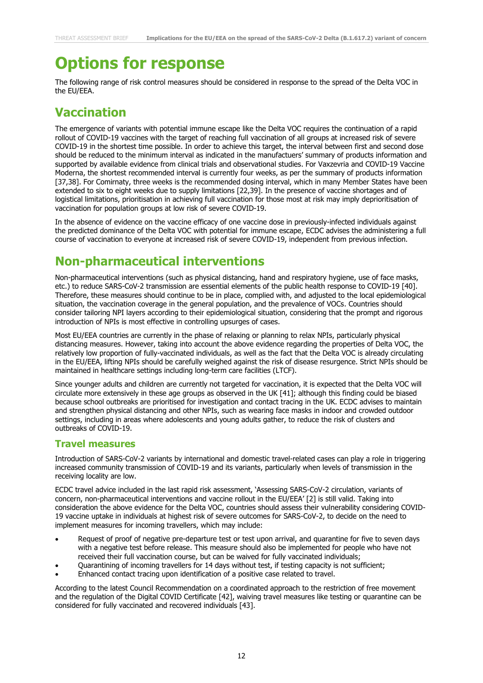# **Options for response**

The following range of risk control measures should be considered in response to the spread of the Delta VOC in the EU/EEA.

### **Vaccination**

The emergence of variants with potential immune escape like the Delta VOC requires the continuation of a rapid rollout of COVID-19 vaccines with the target of reaching full vaccination of all groups at increased risk of severe COVID-19 in the shortest time possible. In order to achieve this target, the interval between first and second dose should be reduced to the minimum interval as indicated in the manufactuers' summary of products information and supported by available evidence from clinical trials and observational studies. For Vaxzevria and COVID-19 Vaccine Moderna, the shortest recommended interval is currently four weeks, as per the summary of products information [37,38]. For Comirnaty, three weeks is the recommended dosing interval, which in many Member States have been extended to six to eight weeks due to supply limitations [22,39]. In the presence of vaccine shortages and of logistical limitations, prioritisation in achieving full vaccination for those most at risk may imply deprioritisation of vaccination for population groups at low risk of severe COVID-19.

In the absence of evidence on the vaccine efficacy of one vaccine dose in previously-infected individuals against the predicted dominance of the Delta VOC with potential for immune escape, ECDC advises the administering a full course of vaccination to everyone at increased risk of severe COVID-19, independent from previous infection.

### **Non-pharmaceutical interventions**

Non-pharmaceutical interventions (such as physical distancing, hand and respiratory hygiene, use of face masks, etc.) to reduce SARS-CoV-2 transmission are essential elements of the public health response to COVID-19 [40]. Therefore, these measures should continue to be in place, complied with, and adjusted to the local epidemiological situation, the vaccination coverage in the general population, and the prevalence of VOCs. Countries should consider tailoring NPI layers according to their epidemiological situation, considering that the prompt and rigorous introduction of NPIs is most effective in controlling upsurges of cases.

Most EU/EEA countries are currently in the phase of relaxing or planning to relax NPIs, particularly physical distancing measures. However, taking into account the above evidence regarding the properties of Delta VOC, the relatively low proportion of fully-vaccinated individuals, as well as the fact that the Delta VOC is already circulating in the EU/EEA, lifting NPIs should be carefully weighed against the risk of disease resurgence. Strict NPIs should be maintained in healthcare settings including long-term care facilities (LTCF).

Since younger adults and children are currently not targeted for vaccination, it is expected that the Delta VOC will circulate more extensively in these age groups as observed in the UK [41]; although this finding could be biased because school outbreaks are prioritised for investigation and contact tracing in the UK. ECDC advises to maintain and strengthen physical distancing and other NPIs, such as wearing face masks in indoor and crowded outdoor settings, including in areas where adolescents and young adults gather, to reduce the risk of clusters and outbreaks of COVID-19.

#### **Travel measures**

Introduction of SARS-CoV-2 variants by international and domestic travel-related cases can play a role in triggering increased community transmission of COVID-19 and its variants, particularly when levels of transmission in the receiving locality are low.

ECDC travel advice included in the last rapid risk assessment, 'Assessing SARS-CoV-2 circulation, variants of concern, non-pharmaceutical interventions and vaccine rollout in the EU/EEA' [2] is still valid. Taking into consideration the above evidence for the Delta VOC, countries should assess their vulnerability considering COVID-19 vaccine uptake in individuals at highest risk of severe outcomes for SARS-CoV-2, to decide on the need to implement measures for incoming travellers, which may include:

- Request of proof of negative pre-departure test or test upon arrival, and quarantine for five to seven days with a negative test before release. This measure should also be implemented for people who have not received their full vaccination course, but can be waived for fully vaccinated individuals;
- Quarantining of incoming travellers for 14 days without test, if testing capacity is not sufficient;
- Enhanced contact tracing upon identification of a positive case related to travel.

According to the latest Council Recommendation on a coordinated approach to the restriction of free movement and the regulation of the Digital COVID Certificate [42], waiving travel measures like testing or quarantine can be considered for fully vaccinated and recovered individuals [43].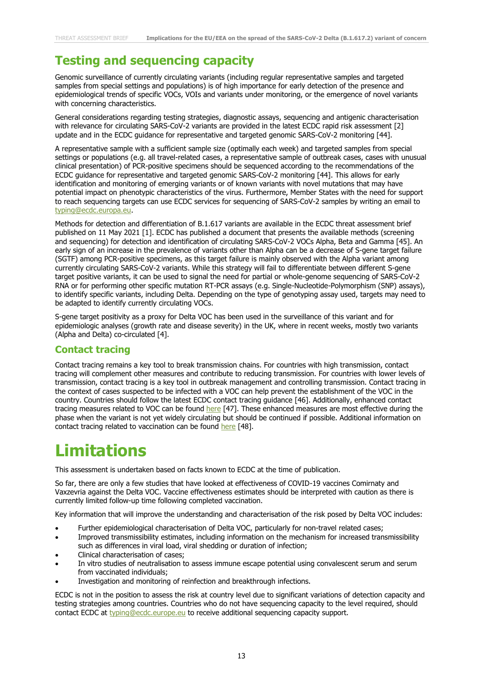### **Testing and sequencing capacity**

Genomic surveillance of currently circulating variants (including regular representative samples and targeted samples from special settings and populations) is of high importance for early detection of the presence and epidemiological trends of specific VOCs, VOIs and variants under monitoring, or the emergence of novel variants with concerning characteristics.

General considerations regarding testing strategies, diagnostic assays, sequencing and antigenic characterisation with relevance for circulating SARS-CoV-2 variants are provided in the latest ECDC rapid risk assessment [2] update and in the ECDC guidance for representative and targeted genomic SARS-CoV-2 monitoring [44].

A representative sample with a sufficient sample size (optimally each week) and targeted samples from special settings or populations (e.g. all travel-related cases, a representative sample of outbreak cases, cases with unusual clinical presentation) of PCR-positive specimens should be sequenced according to the recommendations of the ECDC guidance for representative and targeted genomic SARS-CoV-2 monitoring [44]. This allows for early identification and monitoring of emerging variants or of known variants with novel mutations that may have potential impact on phenotypic characteristics of the virus. Furthermore, Member States with the need for support to reach sequencing targets can use ECDC services for sequencing of SARS-CoV-2 samples by writing an email to [typing@ecdc.europa.eu.](mailto:typing@ecdc.europa.eu)

Methods for detection and differentiation of B.1.617 variants are available in the ECDC threat assessment brief published on 11 May 2021 [1]. ECDC has published a document that presents the available methods (screening and sequencing) for detection and identification of circulating SARS-CoV-2 VOCs Alpha, Beta and Gamma [45]. An early sign of an increase in the prevalence of variants other than Alpha can be a decrease of S-gene target failure (SGTF) among PCR-positive specimens, as this target failure is mainly observed with the Alpha variant among currently circulating SARS-CoV-2 variants. While this strategy will fail to differentiate between different S-gene target positive variants, it can be used to signal the need for partial or whole-genome sequencing of SARS-CoV-2 RNA or for performing other specific mutation RT-PCR assays (e.g. Single-Nucleotide-Polymorphism (SNP) assays), to identify specific variants, including Delta. Depending on the type of genotyping assay used, targets may need to be adapted to identify currently circulating VOCs.

S-gene target positivity as a proxy for Delta VOC has been used in the surveillance of this variant and for epidemiologic analyses (growth rate and disease severity) in the UK, where in recent weeks, mostly two variants (Alpha and Delta) co-circulated [4].

#### **Contact tracing**

Contact tracing remains a key tool to break transmission chains. For countries with high transmission, contact tracing will complement other measures and contribute to reducing transmission. For countries with lower levels of transmission, contact tracing is a key tool in outbreak management and controlling transmission. Contact tracing in the context of cases suspected to be infected with a VOC can help prevent the establishment of the VOC in the country. Countries should follow the latest ECDC contact tracing guidance [46]. Additionally, enhanced contact tracing measures related to VOC can be found [here](https://www.ecdc.europa.eu/en/publications-data/covid-19-risk-assessment-spread-new-variants-concern-eueea-first-update) [47]. These enhanced measures are most effective during the phase when the variant is not yet widely circulating but should be continued if possible. Additional information on contact tracing related to vaccination can be found [here](https://www.ecdc.europa.eu/en/publications-data/interim-guidance-benefits-full-vaccination-against-covid-19-transmission) [48].

## **Limitations**

This assessment is undertaken based on facts known to ECDC at the time of publication.

So far, there are only a few studies that have looked at effectiveness of COVID-19 vaccines Comirnaty and Vaxzevria against the Delta VOC. Vaccine effectiveness estimates should be interpreted with caution as there is currently limited follow-up time following completed vaccination.

Key information that will improve the understanding and characterisation of the risk posed by Delta VOC includes:

- Further epidemiological characterisation of Delta VOC, particularly for non-travel related cases;
- Improved transmissibility estimates, including information on the mechanism for increased transmissibility such as differences in viral load, viral shedding or duration of infection;
- Clinical characterisation of cases;
- In vitro studies of neutralisation to assess immune escape potential using convalescent serum and serum from vaccinated individuals;
- Investigation and monitoring of reinfection and breakthrough infections.

ECDC is not in the position to assess the risk at country level due to significant variations of detection capacity and testing strategies among countries. Countries who do not have sequencing capacity to the level required, should contact ECDC at [typing@ecdc.europe.eu](mailto:typing@ecdc.europe.eu) to receive additional sequencing capacity support.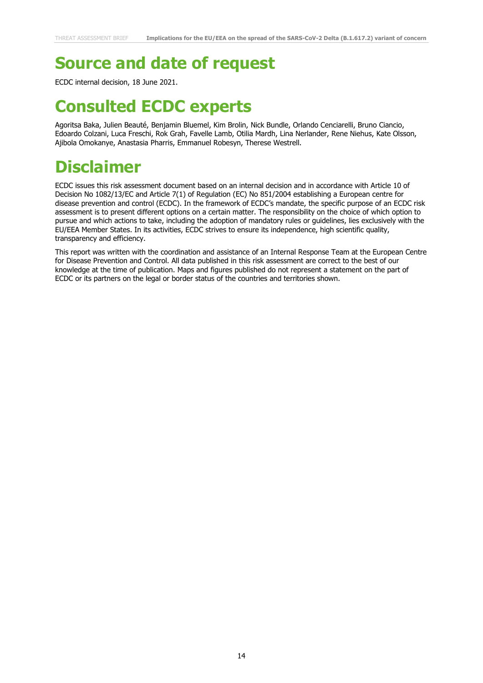## **Source and date of request**

ECDC internal decision, 18 June 2021.

## **Consulted ECDC experts**

Agoritsa Baka, Julien Beauté, Benjamin Bluemel, Kim Brolin, Nick Bundle, Orlando Cenciarelli, Bruno Ciancio, Edoardo Colzani, Luca Freschi, Rok Grah, Favelle Lamb, Otilia Mardh, Lina Nerlander, Rene Niehus, Kate Olsson, Ajibola Omokanye, Anastasia Pharris, Emmanuel Robesyn, Therese Westrell.

# **Disclaimer**

ECDC issues this risk assessment document based on an internal decision and in accordance with Article 10 of Decision No 1082/13/EC and Article 7(1) of Regulation (EC) No 851/2004 establishing a European centre for disease prevention and control (ECDC). In the framework of ECDC's mandate, the specific purpose of an ECDC risk assessment is to present different options on a certain matter. The responsibility on the choice of which option to pursue and which actions to take, including the adoption of mandatory rules or guidelines, lies exclusively with the EU/EEA Member States. In its activities, ECDC strives to ensure its independence, high scientific quality, transparency and efficiency.

This report was written with the coordination and assistance of an Internal Response Team at the European Centre for Disease Prevention and Control. All data published in this risk assessment are correct to the best of our knowledge at the time of publication. Maps and figures published do not represent a statement on the part of ECDC or its partners on the legal or border status of the countries and territories shown.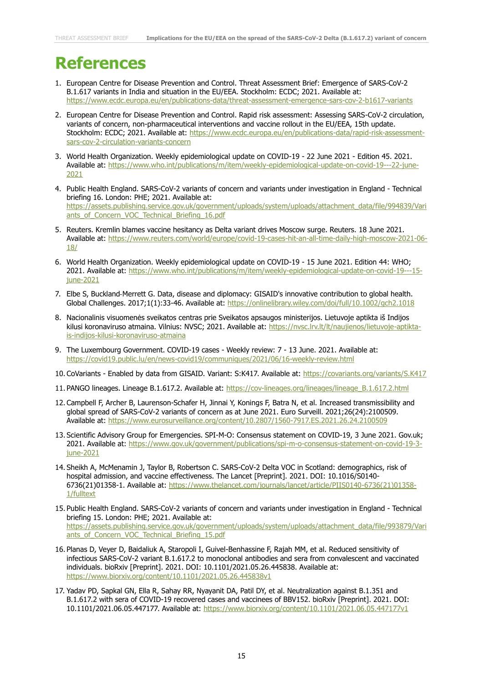## **References**

- 1. European Centre for Disease Prevention and Control. Threat Assessment Brief: Emergence of SARS-CoV-2 B.1.617 variants in India and situation in the EU/EEA. Stockholm: ECDC; 2021. Available at: <https://www.ecdc.europa.eu/en/publications-data/threat-assessment-emergence-sars-cov-2-b1617-variants>
- 2. European Centre for Disease Prevention and Control. Rapid risk assessment: Assessing SARS-CoV-2 circulation, variants of concern, non-pharmaceutical interventions and vaccine rollout in the EU/EEA, 15th update. Stockholm: ECDC; 2021. Available at: [https://www.ecdc.europa.eu/en/publications-data/rapid-risk-assessment](https://www.ecdc.europa.eu/en/publications-data/rapid-risk-assessment-sars-cov-2-circulation-variants-concern)[sars-cov-2-circulation-variants-concern](https://www.ecdc.europa.eu/en/publications-data/rapid-risk-assessment-sars-cov-2-circulation-variants-concern)
- 3. World Health Organization. Weekly epidemiological update on COVID-19 22 June 2021 Edition 45. 2021. Available at: [https://www.who.int/publications/m/item/weekly-epidemiological-update-on-covid-19---22-june-](https://www.who.int/publications/m/item/weekly-epidemiological-update-on-covid-19---22-june-2021)[2021](https://www.who.int/publications/m/item/weekly-epidemiological-update-on-covid-19---22-june-2021)
- 4. Public Health England. SARS-CoV-2 variants of concern and variants under investigation in England Technical briefing 16. London: PHE; 2021. Available at: [https://assets.publishing.service.gov.uk/government/uploads/system/uploads/attachment\\_data/file/994839/Vari](https://assets.publishing.service.gov.uk/government/uploads/system/uploads/attachment_data/file/994839/Variants_of_Concern_VOC_Technical_Briefing_16.pdf) [ants\\_of\\_Concern\\_VOC\\_Technical\\_Briefing\\_16.pdf](https://assets.publishing.service.gov.uk/government/uploads/system/uploads/attachment_data/file/994839/Variants_of_Concern_VOC_Technical_Briefing_16.pdf)
- 5. Reuters. Kremlin blames vaccine hesitancy as Delta variant drives Moscow surge. Reuters. 18 June 2021. Available at: [https://www.reuters.com/world/europe/covid-19-cases-hit-an-all-time-daily-high-moscow-2021-06-](https://www.reuters.com/world/europe/covid-19-cases-hit-an-all-time-daily-high-moscow-2021-06-18/) [18/](https://www.reuters.com/world/europe/covid-19-cases-hit-an-all-time-daily-high-moscow-2021-06-18/)
- 6. World Health Organization. Weekly epidemiological update on COVID-19 15 June 2021. Edition 44: WHO; 2021. Available at: [https://www.who.int/publications/m/item/weekly-epidemiological-update-on-covid-19---15](https://www.who.int/publications/m/item/weekly-epidemiological-update-on-covid-19---15-june-2021) [june-2021](https://www.who.int/publications/m/item/weekly-epidemiological-update-on-covid-19---15-june-2021)
- 7. Elbe S, Buckland‐Merrett G. Data, disease and diplomacy: GISAID's innovative contribution to global health. Global Challenges. 2017;1(1):33-46. Available at:<https://onlinelibrary.wiley.com/doi/full/10.1002/gch2.1018>
- 8. Nacionalinis visuomenės sveikatos centras prie Sveikatos apsaugos ministerijos. Lietuvoje aptikta iš Indijos kilusi koronaviruso atmaina. Vilnius: NVSC; 2021. Available at: [https://nvsc.lrv.lt/lt/naujienos/lietuvoje-aptikta](https://nvsc.lrv.lt/lt/naujienos/lietuvoje-aptikta-is-indijos-kilusi-koronaviruso-atmaina)[is-indijos-kilusi-koronaviruso-atmaina](https://nvsc.lrv.lt/lt/naujienos/lietuvoje-aptikta-is-indijos-kilusi-koronaviruso-atmaina)
- 9. The Luxembourg Government. COVID-19 cases Weekly review: 7 13 June. 2021. Available at: <https://covid19.public.lu/en/news-covid19/communiques/2021/06/16-weekly-review.html>
- 10. CoVariants Enabled by data from GISAID. Variant: S:K417. Available at:<https://covariants.org/variants/S.K417>
- 11. PANGO lineages. Lineage B.1.617.2. Available at: [https://cov-lineages.org/lineages/lineage\\_B.1.617.2.html](https://cov-lineages.org/lineages/lineage_B.1.617.2.html)
- 12. Campbell F, Archer B, Laurenson-Schafer H, Jinnai Y, Konings F, Batra N, et al. Increased transmissibility and global spread of SARS-CoV-2 variants of concern as at June 2021. Euro Surveill. 2021;26(24):2100509. Available at:<https://www.eurosurveillance.org/content/10.2807/1560-7917.ES.2021.26.24.2100509>
- 13. Scientific Advisory Group for Emergencies. SPI-M-O: Consensus statement on COVID-19, 3 June 2021. Gov.uk; 2021. Available at: [https://www.gov.uk/government/publications/spi-m-o-consensus-statement-on-covid-19-3](https://www.gov.uk/government/publications/spi-m-o-consensus-statement-on-covid-19-3-june-2021) [june-2021](https://www.gov.uk/government/publications/spi-m-o-consensus-statement-on-covid-19-3-june-2021)
- 14. Sheikh A, McMenamin J, Taylor B, Robertson C. SARS-CoV-2 Delta VOC in Scotland: demographics, risk of hospital admission, and vaccine effectiveness. The Lancet [Preprint]. 2021. DOI: 10.1016/S0140- 6736(21)01358-1. Available at: [https://www.thelancet.com/journals/lancet/article/PIIS0140-6736\(21\)01358-](https://www.thelancet.com/journals/lancet/article/PIIS0140-6736(21)01358-1/fulltext) [1/fulltext](https://www.thelancet.com/journals/lancet/article/PIIS0140-6736(21)01358-1/fulltext)
- 15. Public Health England. SARS-CoV-2 variants of concern and variants under investigation in England Technical briefing 15. London: PHE; 2021. Available at: [https://assets.publishing.service.gov.uk/government/uploads/system/uploads/attachment\\_data/file/993879/Vari](https://assets.publishing.service.gov.uk/government/uploads/system/uploads/attachment_data/file/993879/Variants_of_Concern_VOC_Technical_Briefing_15.pdf) [ants\\_of\\_Concern\\_VOC\\_Technical\\_Briefing\\_15.pdf](https://assets.publishing.service.gov.uk/government/uploads/system/uploads/attachment_data/file/993879/Variants_of_Concern_VOC_Technical_Briefing_15.pdf)
- 16. Planas D, Veyer D, Baidaliuk A, Staropoli I, Guivel-Benhassine F, Rajah MM, et al. Reduced sensitivity of infectious SARS-CoV-2 variant B.1.617.2 to monoclonal antibodies and sera from convalescent and vaccinated individuals. bioRxiv [Preprint]. 2021. DOI: 10.1101/2021.05.26.445838. Available at: <https://www.biorxiv.org/content/10.1101/2021.05.26.445838v1>
- 17. Yadav PD, Sapkal GN, Ella R, Sahay RR, Nyayanit DA, Patil DY, et al. Neutralization against B.1.351 and B.1.617.2 with sera of COVID-19 recovered cases and vaccinees of BBV152. bioRxiv [Preprint]. 2021. DOI: 10.1101/2021.06.05.447177. Available at:<https://www.biorxiv.org/content/10.1101/2021.06.05.447177v1>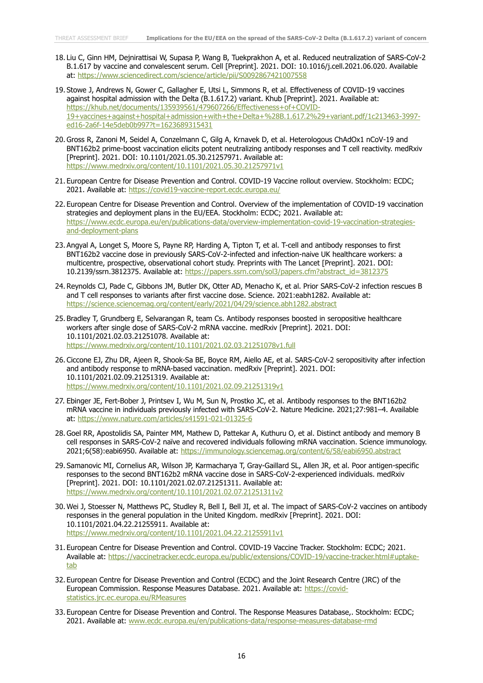- 18. Liu C, Ginn HM, Dejnirattisai W, Supasa P, Wang B, Tuekprakhon A, et al. Reduced neutralization of SARS-CoV-2 B.1.617 by vaccine and convalescent serum. Cell [Preprint]. 2021. DOI: 10.1016/j.cell.2021.06.020. Available at:<https://www.sciencedirect.com/science/article/pii/S0092867421007558>
- 19. Stowe J, Andrews N, Gower C, Gallagher E, Utsi L, Simmons R, et al. Effectiveness of COVID-19 vaccines against hospital admission with the Delta (B.1.617.2) variant. Khub [Preprint]. 2021. Available at: [https://khub.net/documents/135939561/479607266/Effectiveness+of+COVID-](https://khub.net/documents/135939561/479607266/Effectiveness+of+COVID-19+vaccines+against+hospital+admission+with+the+Delta+%28B.1.617.2%29+variant.pdf/1c213463-3997-ed16-2a6f-14e5deb0b997?t=1623689315431)[19+vaccines+against+hospital+admission+with+the+Delta+%28B.1.617.2%29+variant.pdf/1c213463-3997](https://khub.net/documents/135939561/479607266/Effectiveness+of+COVID-19+vaccines+against+hospital+admission+with+the+Delta+%28B.1.617.2%29+variant.pdf/1c213463-3997-ed16-2a6f-14e5deb0b997?t=1623689315431) [ed16-2a6f-14e5deb0b997?t=1623689315431](https://khub.net/documents/135939561/479607266/Effectiveness+of+COVID-19+vaccines+against+hospital+admission+with+the+Delta+%28B.1.617.2%29+variant.pdf/1c213463-3997-ed16-2a6f-14e5deb0b997?t=1623689315431)
- 20. Gross R, Zanoni M, Seidel A, Conzelmann C, Gilg A, Krnavek D, et al. Heterologous ChAdOx1 nCoV-19 and BNT162b2 prime-boost vaccination elicits potent neutralizing antibody responses and T cell reactivity. medRxiv [Preprint]. 2021. DOI: 10.1101/2021.05.30.21257971. Available at: <https://www.medrxiv.org/content/10.1101/2021.05.30.21257971v1>
- 21. European Centre for Disease Prevention and Control. COVID-19 Vaccine rollout overview. Stockholm: ECDC; 2021. Available at:<https://covid19-vaccine-report.ecdc.europa.eu/>
- 22. European Centre for Disease Prevention and Control. Overview of the implementation of COVID-19 vaccination strategies and deployment plans in the EU/EEA. Stockholm: ECDC; 2021. Available at: [https://www.ecdc.europa.eu/en/publications-data/overview-implementation-covid-19-vaccination-strategies](https://www.ecdc.europa.eu/en/publications-data/overview-implementation-covid-19-vaccination-strategies-and-deployment-plans)[and-deployment-plans](https://www.ecdc.europa.eu/en/publications-data/overview-implementation-covid-19-vaccination-strategies-and-deployment-plans)
- 23. Angyal A, Longet S, Moore S, Payne RP, Harding A, Tipton T, et al. T-cell and antibody responses to first BNT162b2 vaccine dose in previously SARS-CoV-2-infected and infection-naive UK healthcare workers: a multicentre, prospective, observational cohort study. Preprints with The Lancet [Preprint]. 2021. DOI: 10.2139/ssrn.3812375. Available at: [https://papers.ssrn.com/sol3/papers.cfm?abstract\\_id=3812375](https://papers.ssrn.com/sol3/papers.cfm?abstract_id=3812375)
- 24. Reynolds CJ, Pade C, Gibbons JM, Butler DK, Otter AD, Menacho K, et al. Prior SARS-CoV-2 infection rescues B and T cell responses to variants after first vaccine dose. Science. 2021:eabh1282. Available at: <https://science.sciencemag.org/content/early/2021/04/29/science.abh1282.abstract>
- 25. Bradley T, Grundberg E, Selvarangan R, team Cs. Antibody responses boosted in seropositive healthcare workers after single dose of SARS-CoV-2 mRNA vaccine. medRxiv [Preprint]. 2021. DOI: 10.1101/2021.02.03.21251078. Available at: <https://www.medrxiv.org/content/10.1101/2021.02.03.21251078v1.full>
- 26. Ciccone EJ, Zhu DR, Ajeen R, Shook-Sa BE, Boyce RM, Aiello AE, et al. SARS-CoV-2 seropositivity after infection and antibody response to mRNA-based vaccination. medRxiv [Preprint]. 2021. DOI: 10.1101/2021.02.09.21251319. Available at: <https://www.medrxiv.org/content/10.1101/2021.02.09.21251319v1>
- 27. Ebinger JE, Fert-Bober J, Printsev I, Wu M, Sun N, Prostko JC, et al. Antibody responses to the BNT162b2 mRNA vaccine in individuals previously infected with SARS-CoV-2. Nature Medicine. 2021;27:981–4. Available at:<https://www.nature.com/articles/s41591-021-01325-6>
- 28. Goel RR, Apostolidis SA, Painter MM, Mathew D, Pattekar A, Kuthuru O, et al. Distinct antibody and memory B cell responses in SARS-CoV-2 naïve and recovered individuals following mRNA vaccination. Science immunology. 2021;6(58):eabi6950. Available at:<https://immunology.sciencemag.org/content/6/58/eabi6950.abstract>
- 29. Samanovic MI, Cornelius AR, Wilson JP, Karmacharya T, Gray-Gaillard SL, Allen JR, et al. Poor antigen-specific responses to the second BNT162b2 mRNA vaccine dose in SARS-CoV-2-experienced individuals. medRxiv [Preprint]. 2021. DOI: 10.1101/2021.02.07.21251311. Available at: <https://www.medrxiv.org/content/10.1101/2021.02.07.21251311v2>
- 30. Wei J, Stoesser N, Matthews PC, Studley R, Bell I, Bell JI, et al. The impact of SARS-CoV-2 vaccines on antibody responses in the general population in the United Kingdom. medRxiv [Preprint]. 2021. DOI: 10.1101/2021.04.22.21255911. Available at: <https://www.medrxiv.org/content/10.1101/2021.04.22.21255911v1>
- 31. European Centre for Disease Prevention and Control. COVID-19 Vaccine Tracker. Stockholm: ECDC; 2021. Available at: [https://vaccinetracker.ecdc.europa.eu/public/extensions/COVID-19/vaccine-tracker.html#uptake](https://vaccinetracker.ecdc.europa.eu/public/extensions/COVID-19/vaccine-tracker.html#uptake-tab)[tab](https://vaccinetracker.ecdc.europa.eu/public/extensions/COVID-19/vaccine-tracker.html#uptake-tab)
- 32. European Centre for Disease Prevention and Control (ECDC) and the Joint Research Centre (JRC) of the European Commission. Response Measures Database. 2021. Available at: [https://covid](https://covid-statistics.jrc.ec.europa.eu/RMeasures)[statistics.jrc.ec.europa.eu/RMeasures](https://covid-statistics.jrc.ec.europa.eu/RMeasures)
- 33. European Centre for Disease Prevention and Control. The Response Measures Database,. Stockholm: ECDC; 2021. Available at: [www.ecdc.europa.eu/en/publications-data/response-measures-database-rmd](http://www.ecdc.europa.eu/en/publications-data/response-measures-database-rmd)